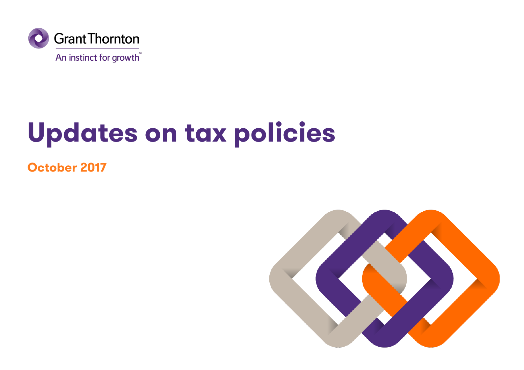

# **Updates on tax policies**

**October 2017**

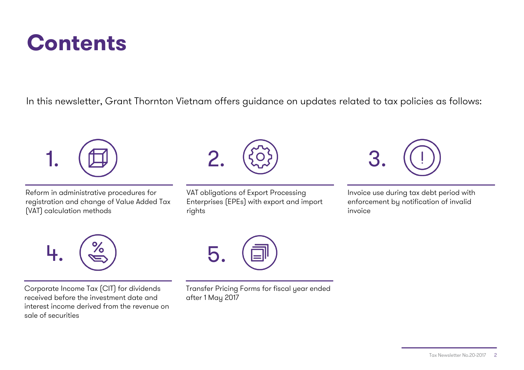## **Contents**

In this newsletter, Grant Thornton Vietnam offers guidance on updates related to tax policies as follows:



Reform in administrative procedures for registration and change of Value Added Tax (VAT) calculation methods



VAT obligations of Export Processing Enterprises (EPEs) with export and import rights



Invoice use during tax debt period with enforcement by notification of invalid invoice



Corporate Income Tax (CIT) for dividends received before the investment date and interest income derived from the revenue on sale of securities



Transfer Pricing Forms for fiscal year ended after 1 May 2017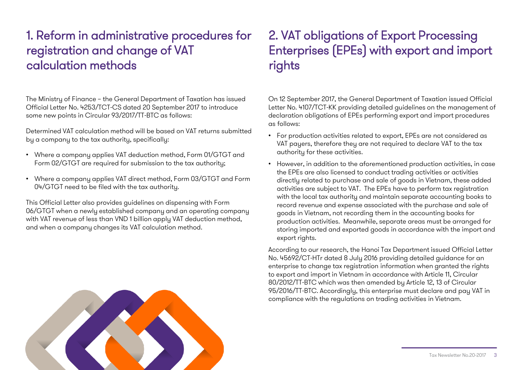## 1. Reform in administrative procedures for registration and change of VAT calculation methods

The Ministry of Finance – the General Department of Taxation has issued Official Letter No. 4253/TCT-CS dated 20 September 2017 to introduce some new points in Circular 93/2017/TT-BTC as follows:

Determined VAT calculation method will be based on VAT returns submitted by a company to the tax authority, specifically:

- Where a company applies VAT deduction method, Form 01/GTGT and Form 02/GTGT are required for submission to the tax authority;
- Where a company applies VAT direct method, Form 03/GTGT and Form 04/GTGT need to be filed with the tax authority.

This Official Letter also provides guidelines on dispensing with Form 06/GTGT when a newly established company and an operating company with VAT revenue of less than VND 1 billion apply VAT deduction method, and when a company changes its VAT calculation method.

## 2. VAT obligations of Export Processing Enterprises (EPEs) with export and import rights

On 12 September 2017, the General Department of Taxation issued Official Letter No. 4107/TCT-KK providing detailed guidelines on the management of declaration obligations of EPEs performing export and import procedures as follows:

- For production activities related to export, EPEs are not considered as VAT payers, therefore they are not required to declare VAT to the tax authority for these activities.
- However, in addition to the aforementioned production activities, in case the EPEs are also licensed to conduct trading activities or activities directly related to purchase and sale of goods in Vietnam, these added activities are subject to VAT. The EPEs have to perform tax registration with the local tax authority and maintain separate accounting books to record revenue and expense associated with the purchase and sale of goods in Vietnam, not recording them in the accounting books for production activities. Meanwhile, separate areas must be arranged for storing imported and exported goods in accordance with the import and export rights.

According to our research, the Hanoi Tax Department issued Official Letter No. 45692/CT-HTr dated 8 July 2016 providing detailed guidance for an enterprise to change tax registration information when granted the rights to export and import in Vietnam in accordance with Article 11, Circular 80/2012/TT-BTC which was then amended by Article 12, 13 of Circular 95/2016/TT-BTC. Accordingly, this enterprise must declare and pay VAT in compliance with the regulations on trading activities in Vietnam.

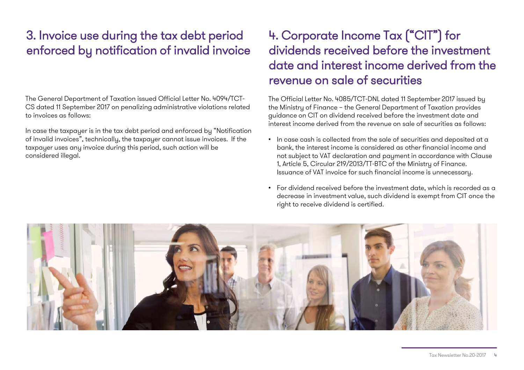## 3. Invoice use during the tax debt period enforced by notification of invalid invoice

The General Department of Taxation issued Official Letter No. 4094/TCT-CS dated 11 September 2017 on penalizing administrative violations related to invoices as follows:

In case the taxpayer is in the tax debt period and enforced by "Notification of invalid invoices", technically, the taxpayer cannot issue invoices. If the taxpayer uses any invoice during this period, such action will be considered illegal.

## 4. Corporate Income Tax ("CIT") for dividends received before the investment date and interest income derived from the revenue on sale of securities

The Official Letter No. 4085/TCT-DNL dated 11 September 2017 issued by the Ministry of Finance – the General Department of Taxation provides guidance on CIT on dividend received before the investment date and interest income derived from the revenue on sale of securities as follows:

- In case cash is collected from the sale of securities and deposited at a bank, the interest income is considered as other financial income and not subject to VAT declaration and payment in accordance with Clause 1, Article 5, Circular 219/2013/TT-BTC of the Ministry of Finance. Issuance of VAT invoice for such financial income is unnecessary.
- For dividend received before the investment date, which is recorded as a decrease in investment value, such dividend is exempt from CIT once the right to receive dividend is certified.

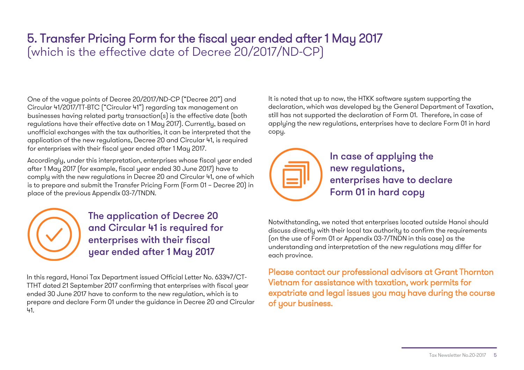### 5. Transfer Pricing Form for the fiscal year ended after 1 May 2017 (which is the effective date of Decree 20/2017/ND-CP)

One of the vague points of Decree 20/2017/ND-CP ("Decree 20") and Circular 41/2017/TT-BTC ("Circular 41") regarding tax management on businesses having related party transaction(s) is the effective date (both regulations have their effective date on 1 May 2017). Currently, based on unofficial exchanges with the tax authorities, it can be interpreted that the application of the new regulations, Decree 20 and Circular 41, is required for enterprises with their fiscal year ended after 1 May 2017.

Accordingly, under this interpretation, enterprises whose fiscal year ended after 1 May 2017 (for example, fiscal year ended 30 June 2017) have to comply with the new regulations in Decree 20 and Circular 41, one of which is to prepare and submit the Transfer Pricing Form (Form 01 – Decree 20) in place of the previous Appendix 03-7/TNDN.

> The application of Decree 20 and Circular 41 is required for enterprises with their fiscal year ended after 1 May 2017

In this regard, Hanoi Tax Department issued Official Letter No. 63347/CT-TTHT dated 21 September 2017 confirming that enterprises with fiscal year ended 30 June 2017 have to conform to the new regulation, which is to prepare and declare Form 01 under the guidance in Decree 20 and Circular 41.

It is noted that up to now, the HTKK software system supporting the declaration, which was developed by the General Department of Taxation, still has not supported the declaration of Form 01. Therefore, in case of applying the new regulations, enterprises have to declare Form 01 in hard copy.



In case of applying the new regulations, enterprises have to declare Form 01 in hard copy

Notwithstanding, we noted that enterprises located outside Hanoi should discuss directly with their local tax authority to confirm the requirements (on the use of Form 01 or Appendix 03-7/TNDN in this case) as the understanding and interpretation of the new regulations may differ for each province.

Please contact our professional advisors at Grant Thornton Vietnam for assistance with taxation, work permits for expatriate and legal issues you may have during the course of your business.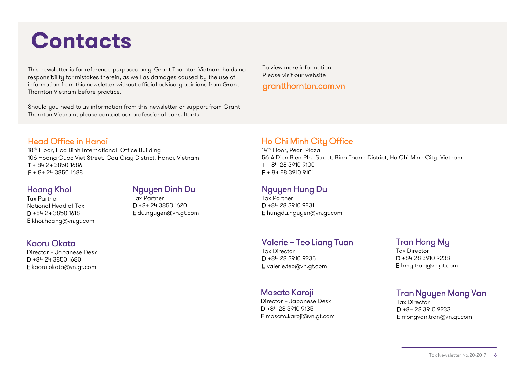## **Contacts**

This newsletter is for reference purposes only. Grant Thornton Vietnam holds no responsibility for mistakes therein, as well as damages caused by the use of information from this newsletter without official advisory opinions from Grant Thornton Vietnam before practice.

Should you need to us information from this newsletter or support from Grant Thornton Vietnam, please contact our professional consultants

To view more information Please visit our website

#### grantthornton.com.vn

#### Head Office in Hanoi

18<sup>th</sup> Floor, Hoa Binh International Office Building 106 Hoang Quoc Viet Street, Cau Giay District, Hanoi, Vietnam T + 84 24 3850 1686 F + 84 24 3850 1688

#### Hoang Khoi

Tax Partner National Head of Tax D +84 24 3850 1618 E khoi.hoang@vn.gt.com

#### Kaoru Okata

Director – Japanese Desk D +84 24 3850 1680 E kaoru.okata@vn.gt.com

### Nguyen Dinh Du

Tax Partner D +84 24 3850 1620 E du.nguyen@vn.gt.com

#### Ho Chi Minh City Office

14th Floor, Pearl Plaza 561A Dien Bien Phu Street, Binh Thanh District, Ho Chi Minh City, Vietnam T + 84 28 3910 9100 F + 84 28 3910 9101

#### Nguyen Hung Du

Tax Partner D +84 28 3910 9231 E hungdu.nguyen@vn.gt.com

#### Valerie – Teo Liang Tuan

Tax Director D +84 28 3910 9235 E valerie.teo@vn.gt.com

#### Masato Karoji

Director – Japanese Desk D +84 28 3910 9135 E masato.karoji@vn.gt.com

#### Tran Hong My

Tax Director D +84 28 3910 9238 E hmy.tran@vn.gt.com

#### Tran Nguyen Mong Van

Tax Director D +84 28 3910 9233 E mongvan.tran@vn.gt.com